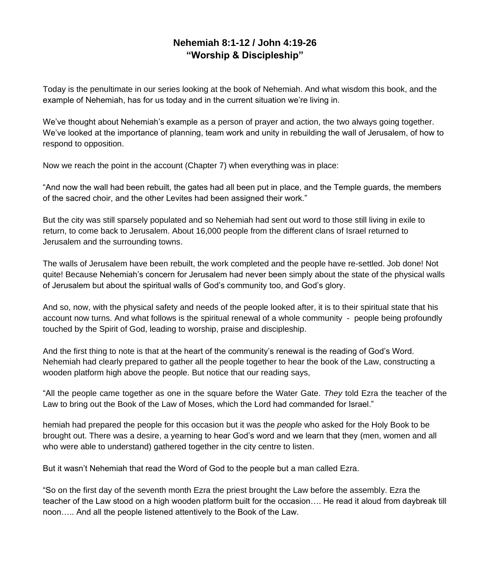## **Nehemiah 8:1-12 / John 4:19-26 "Worship & Discipleship"**

Today is the penultimate in our series looking at the book of Nehemiah. And what wisdom this book, and the example of Nehemiah, has for us today and in the current situation we're living in.

We've thought about Nehemiah's example as a person of prayer and action, the two always going together. We've looked at the importance of planning, team work and unity in rebuilding the wall of Jerusalem, of how to respond to opposition.

Now we reach the point in the account (Chapter 7) when everything was in place:

"And now the wall had been rebuilt, the gates had all been put in place, and the Temple guards, the members of the sacred choir, and the other Levites had been assigned their work."

But the city was still sparsely populated and so Nehemiah had sent out word to those still living in exile to return, to come back to Jerusalem. About 16,000 people from the different clans of Israel returned to Jerusalem and the surrounding towns.

The walls of Jerusalem have been rebuilt, the work completed and the people have re-settled. Job done! Not quite! Because Nehemiah's concern for Jerusalem had never been simply about the state of the physical walls of Jerusalem but about the spiritual walls of God's community too, and God's glory.

And so, now, with the physical safety and needs of the people looked after, it is to their spiritual state that his account now turns. And what follows is the spiritual renewal of a whole community - people being profoundly touched by the Spirit of God, leading to worship, praise and discipleship.

And the first thing to note is that at the heart of the community's renewal is the reading of God's Word. Nehemiah had clearly prepared to gather all the people together to hear the book of the Law, constructing a wooden platform high above the people. But notice that our reading says,

"All the people came together as one in the square before the Water Gate. *They* told Ezra the teacher of the Law to bring out the Book of the Law of Moses, which the Lord had commanded for Israel."

hemiah had prepared the people for this occasion but it was the *people* who asked for the Holy Book to be brought out. There was a desire, a yearning to hear God's word and we learn that they (men, women and all who were able to understand) gathered together in the city centre to listen.

But it wasn't Nehemiah that read the Word of God to the people but a man called Ezra.

"So on the first day of the seventh month Ezra the priest brought the Law before the assembly. Ezra the teacher of the Law stood on a high wooden platform built for the occasion…. He read it aloud from daybreak till noon….. And all the people listened attentively to the Book of the Law.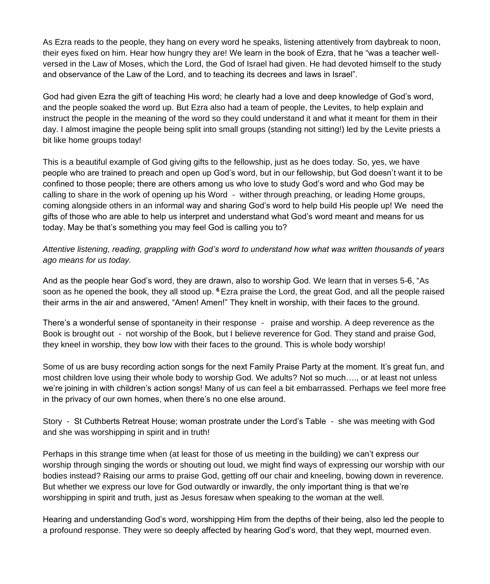As Ezra reads to the people, they hang on every word he speaks, listening attentively from daybreak to noon, their eyes fixed on him. Hear how hungry they are! We learn in the book of Ezra, that he "was a teacher wellversed in the Law of Moses, which the Lord, the God of Israel had given. He had devoted himself to the study and observance of the Law of the Lord, and to teaching its decrees and laws in Israel".

God had given Ezra the gift of teaching His word; he clearly had a love and deep knowledge of God's word, and the people soaked the word up. But Ezra also had a team of people, the Levites, to help explain and instruct the people in the meaning of the word so they could understand it and what it meant for them in their day. I almost imagine the people being split into small groups (standing not sitting!) led by the Levite priests a bit like home groups today!

This is a beautiful example of God giving gifts to the fellowship, just as he does today. So, yes, we have people who are trained to preach and open up God's word, but in our fellowship, but God doesn't want it to be confined to those people; there are others among us who love to study God's word and who God may be calling to share in the work of opening up his Word - wither through preaching, or leading Home groups, coming alongside others in an informal way and sharing God's word to help build His people up! We need the gifts of those who are able to help us interpret and understand what God's word meant and means for us today. May be that's something you may feel God is calling you to?

*Attentive listening, reading, grappling with God's word to understand how what was written thousands of years ago means for us today.*

And as the people hear God's word, they are drawn, also to worship God. We learn that in verses 5-6, "As soon as he opened the book, they all stood up. **<sup>6</sup>** Ezra praise the Lord, the great God, and all the people raised their arms in the air and answered, "Amen! Amen!" They knelt in worship, with their faces to the ground.

There's a wonderful sense of spontaneity in their response - praise and worship. A deep reverence as the Book is brought out - not worship of the Book, but I believe reverence for God. They stand and praise God, they kneel in worship, they bow low with their faces to the ground. This is whole body worship!

Some of us are busy recording action songs for the next Family Praise Party at the moment. It's great fun, and most children love using their whole body to worship God. We adults? Not so much…., or at least not unless we're joining in with children's action songs! Many of us can feel a bit embarrassed. Perhaps we feel more free in the privacy of our own homes, when there's no one else around.

Story - St Cuthberts Retreat House; woman prostrate under the Lord's Table - she was meeting with God and she was worshipping in spirit and in truth!

Perhaps in this strange time when (at least for those of us meeting in the building) we can't express our worship through singing the words or shouting out loud, we might find ways of expressing our worship with our bodies instead? Raising our arms to praise God, getting off our chair and kneeling, bowing down in reverence. But whether we express our love for God outwardly or inwardly, the only important thing is that we're worshipping in spirit and truth, just as Jesus foresaw when speaking to the woman at the well.

Hearing and understanding God's word, worshipping Him from the depths of their being, also led the people to a profound response. They were so deeply affected by hearing God's word, that they wept, mourned even.